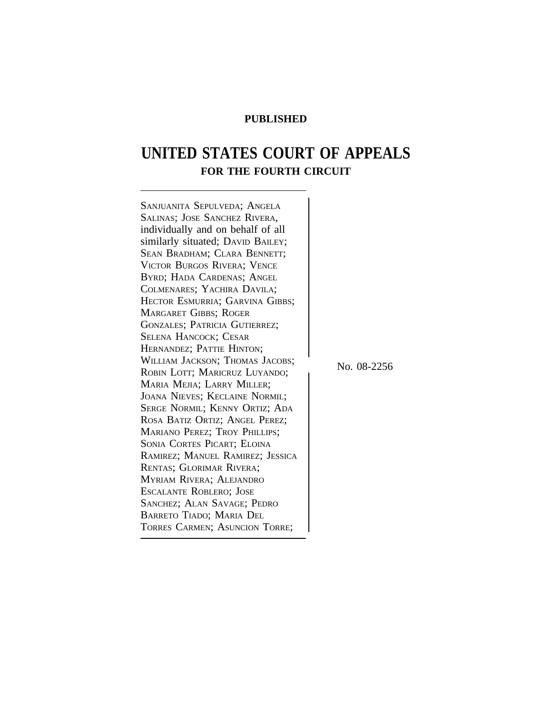# **PUBLISHED**

# **UNITED STATES COURT OF APPEALS FOR THE FOURTH CIRCUIT**

| SANJUANITA SEPULVEDA; ANGELA      |             |
|-----------------------------------|-------------|
| SALINAS; JOSE SANCHEZ RIVERA,     |             |
| individually and on behalf of all |             |
| similarly situated; DAVID BAILEY; |             |
| SEAN BRADHAM; CLARA BENNETT;      |             |
| VICTOR BURGOS RIVERA; VENCE       |             |
| BYRD; HADA CARDENAS; ANGEL        |             |
| COLMENARES; YACHIRA DAVILA;       |             |
| HECTOR ESMURRIA; GARVINA GIBBS;   |             |
| <b>MARGARET GIBBS; ROGER</b>      |             |
| GONZALES; PATRICIA GUTIERREZ;     |             |
| <b>SELENA HANCOCK; CESAR</b>      |             |
| HERNANDEZ; PATTIE HINTON;         |             |
| WILLIAM JACKSON; THOMAS JACOBS;   | No. 08-2256 |
| ROBIN LOTT; MARICRUZ LUYANDO;     |             |
| MARIA MEJIA; LARRY MILLER;        |             |
| JOANA NIEVES; KECLAINE NORMIL;    |             |
| SERGE NORMIL; KENNY ORTIZ; ADA    |             |
| ROSA BATIZ ORTIZ; ANGEL PEREZ;    |             |
| MARIANO PEREZ; TROY PHILLIPS;     |             |
| SONIA CORTES PICART; ELOINA       |             |
| RAMIREZ; MANUEL RAMIREZ; JESSICA  |             |
| RENTAS; GLORIMAR RIVERA;          |             |
| MYRIAM RIVERA; ALEJANDRO          |             |
| <b>ESCALANTE ROBLERO; JOSE</b>    |             |
| SANCHEZ; ALAN SAVAGE; PEDRO       |             |
| <b>BARRETO TIADO; MARIA DEL</b>   |             |
| TORRES CARMEN; ASUNCION TORRE;    |             |
|                                   |             |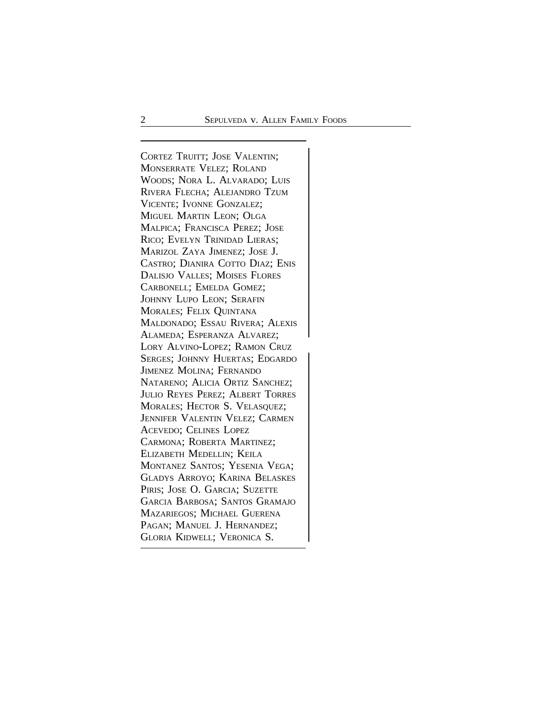CORTEZ TRUITT; JOSE VALENTIN; MONSERRATE VELEZ; ROLAND WOODS; NORA L. ALVARADO; LUIS RIVERA FLECHA; ALEJANDRO TZUM VICENTE; IVONNE GONZALEZ; MIGUEL MARTIN LEON; OLGA MALPICA; FRANCISCA PEREZ; JOSE RICO; EVELYN TRINIDAD LIERAS; MARIZOL ZAYA JIMENEZ; JOSE J. CASTRO; DIANIRA COTTO DIAZ; ENIS DALISJO VALLES; MOISES FLORES CARBONELL; EMELDA GOMEZ; JOHNNY LUPO LEON; SERAFIN MORALES; FELIX QUINTANA MALDONADO; ESSAU RIVERA; ALEXIS ALAMEDA; ESPERANZA ALVAREZ; <sup>L</sup>ORY ALVINO-LOPEZ; RAMON CRUZ SERGES; JOHNNY HUERTAS; EDGARDO JIMENEZ MOLINA; FERNANDO NATARENO; ALICIA ORTIZ SANCHEZ; JULIO REYES PEREZ; ALBERT TORRES MORALES; HECTOR S. VELASQUEZ; JENNIFER VALENTIN VELEZ; CARMEN ACEVEDO; CELINES LOPEZ CARMONA; ROBERTA MARTINEZ; ELIZABETH MEDELLIN; KEILA MONTANEZ SANTOS; YESENIA VEGA; GLADYS ARROYO; KARINA BELASKES PIRIS; JOSE O. GARCIA; SUZETTE GARCIA BARBOSA; SANTOS GRAMAJO MAZARIEGOS; MICHAEL GUERENA PAGAN; MANUEL J. HERNANDEZ; <sup>G</sup>LORIA KIDWELL; VERONICA S.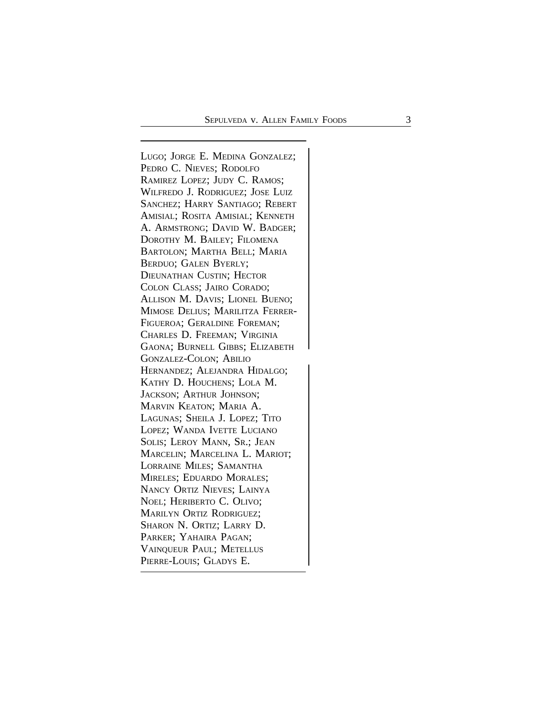<sup>L</sup>UGO; JORGE E. MEDINA GONZALEZ; PEDRO C. NIEVES; RODOLFO RAMIREZ LOPEZ; JUDY C. RAMOS; WILFREDO J. RODRIGUEZ; JOSE LUIZ SANCHEZ; HARRY SANTIAGO; REBERT AMISIAL; ROSITA AMISIAL; KENNETH A. ARMSTRONG; DAVID W. BADGER; DOROTHY M. BAILEY; FILOMENA BARTOLON; MARTHA BELL; MARIA BERDUO; GALEN BYERLY; DIEUNATHAN CUSTIN; HECTOR COLON CLASS; JAIRO CORADO; ALLISON M. DAVIS; LIONEL BUENO; MIMOSE DELIUS; MARILITZA FERRER-FIGUEROA; GERALDINE FOREMAN; CHARLES D. FREEMAN; VIRGINIA GAONA; BURNELL GIBBS; ELIZABETH <sup>G</sup>ONZALEZ-COLON; ABILIO HERNANDEZ; ALEJANDRA HIDALGO; KATHY D. HOUCHENS; LOLA M. JACKSON; ARTHUR JOHNSON; MARVIN KEATON; MARIA A. LAGUNAS; SHEILA J. LOPEZ; TITO LOPEZ; WANDA IVETTE LUCIANO SOLIS; LEROY MANN, SR.; JEAN MARCELIN; MARCELINA L. MARIOT; LORRAINE MILES; SAMANTHA MIRELES; EDUARDO MORALES; NANCY ORTIZ NIEVES; LAINYA NOEL; HERIBERTO C. OLIVO; MARILYN ORTIZ RODRIGUEZ; SHARON N. ORTIZ; LARRY D. PARKER; YAHAIRA PAGAN; VAINQUEUR PAUL; METELLUS <sup>P</sup>IERRE-LOUIS; GLADYS E.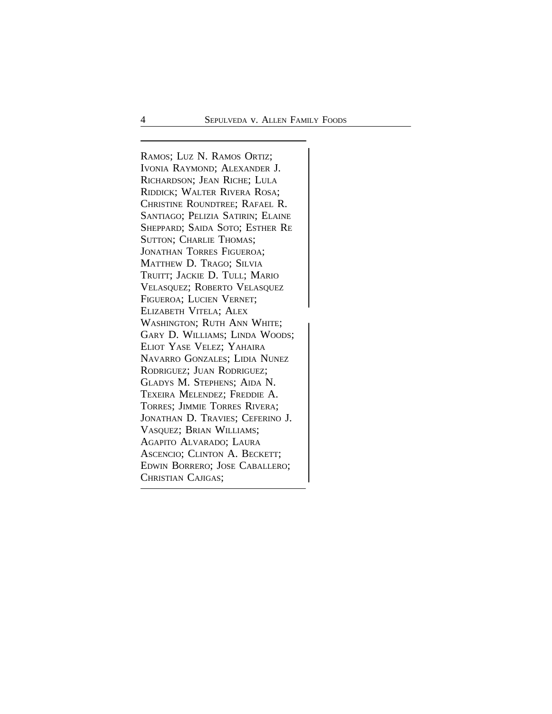<sup>R</sup>AMOS; LUZ N. RAMOS ORTIZ; IVONIA RAYMOND; ALEXANDER J. RICHARDSON; JEAN RICHE; LULA RIDDICK; WALTER RIVERA ROSA; CHRISTINE ROUNDTREE; RAFAEL R. SANTIAGO; PELIZIA SATIRIN; ELAINE SHEPPARD; SAIDA SOTO; ESTHER RE SUTTON; CHARLIE THOMAS; JONATHAN TORRES FIGUEROA; MATTHEW D. TRAGO; SILVIA TRUITT; JACKIE D. TULL; MARIO VELASQUEZ; ROBERTO VELASQUEZ FIGUEROA; LUCIEN VERNET; ELIZABETH VITELA; ALEX WASHINGTON; RUTH ANN WHITE; GARY D. WILLIAMS; LINDA WOODS; ELIOT YASE VELEZ; YAHAIRA NAVARRO GONZALES; LIDIA NUNEZ RODRIGUEZ; JUAN RODRIGUEZ; GLADYS M. STEPHENS; AIDA N. TEXEIRA MELENDEZ; FREDDIE A. TORRES; JIMMIE TORRES RIVERA; JONATHAN D. TRAVIES; CEFERINO J. VASQUEZ; BRIAN WILLIAMS; AGAPITO ALVARADO; LAURA ASCENCIO; CLINTON A. BECKETT; EDWIN BORRERO; JOSE CABALLERO; <sup>C</sup>HRISTIAN CAJIGAS;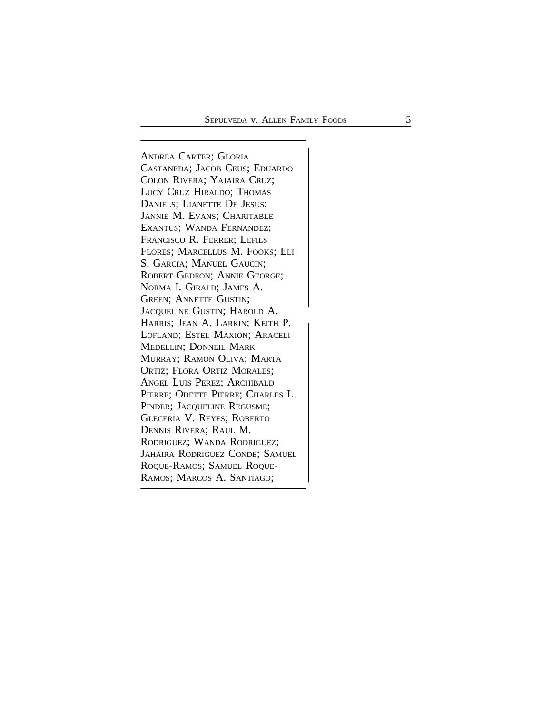<sup>A</sup>NDREA CARTER; GLORIA CASTANEDA; JACOB CEUS; EDUARDO COLON RIVERA; YAJAIRA CRUZ; LUCY CRUZ HIRALDO; THOMAS DANIELS; LIANETTE DE JESUS; JANNIE M. EVANS; CHARITABLE EXANTUS; WANDA FERNANDEZ; FRANCISCO R. FERRER; LEFILS FLORES; MARCELLUS M. FOOKS; ELI S. GARCIA; MANUEL GAUCIN; ROBERT GEDEON; ANNIE GEORGE; NORMA I. GIRALD; JAMES A. GREEN; ANNETTE GUSTIN; <sup>J</sup>ACQUELINE GUSTIN; HAROLD A. <sup>H</sup>ARRIS; JEAN A. LARKIN; KEITH P. LOFLAND; ESTEL MAXION; ARACELI MEDELLIN; DONNEIL MARK MURRAY; RAMON OLIVA; MARTA ORTIZ; FLORA ORTIZ MORALES; ANGEL LUIS PEREZ; ARCHIBALD PIERRE; ODETTE PIERRE; CHARLES L. PINDER; JACQUELINE REGUSME; GLECERIA V. REYES; ROBERTO DENNIS RIVERA; RAUL M. RODRIGUEZ; WANDA RODRIGUEZ; JAHAIRA RODRIGUEZ CONDE; SAMUEL ROQUE-RAMOS; SAMUEL ROQUE-<sup>R</sup>AMOS; MARCOS A. SANTIAGO;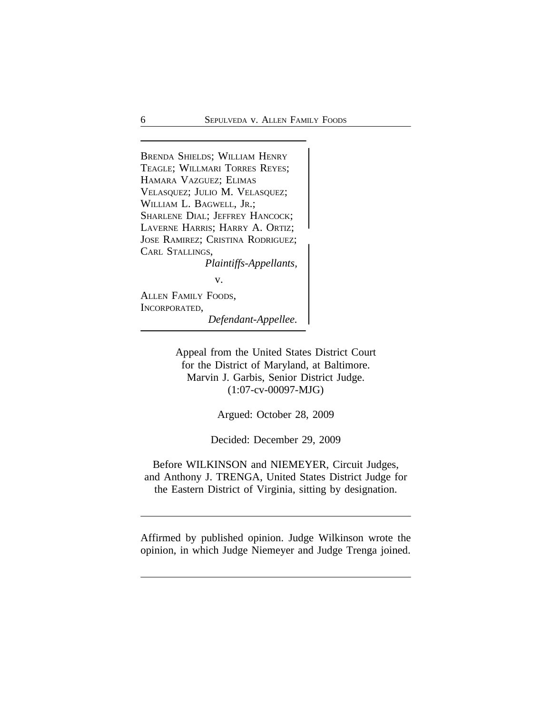<sup>B</sup>RENDA SHIELDS; WILLIAM HENRY TEAGLE; WILLMARI TORRES REYES; HAMARA VAZGUEZ; ELIMAS VELASQUEZ; JULIO M. VELASQUEZ; WILLIAM L. BAGWELL, JR.; SHARLENE DIAL; JEFFREY HANCOCK; LAVERNE HARRIS; HARRY A. ORTIZ; <sup>J</sup>OSE RAMIREZ; CRISTINA RODRIGUEZ; CARL STALLINGS, *Plaintiffs-Appellants,* v. ALLEN FAMILY FOODS,

INCORPORATED,

*Defendant-Appellee.*

Appeal from the United States District Court for the District of Maryland, at Baltimore. Marvin J. Garbis, Senior District Judge. (1:07-cv-00097-MJG)

Argued: October 28, 2009

Decided: December 29, 2009

Before WILKINSON and NIEMEYER, Circuit Judges, and Anthony J. TRENGA, United States District Judge for the Eastern District of Virginia, sitting by designation.

Affirmed by published opinion. Judge Wilkinson wrote the opinion, in which Judge Niemeyer and Judge Trenga joined.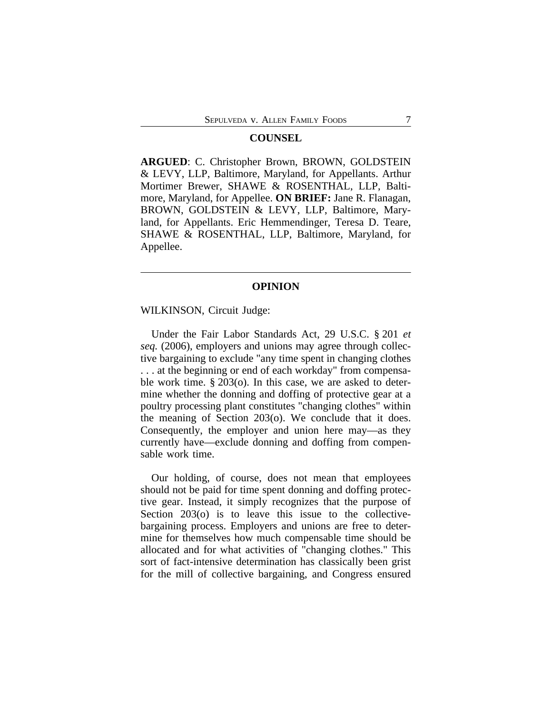#### **COUNSEL**

**ARGUED**: C. Christopher Brown, BROWN, GOLDSTEIN & LEVY, LLP, Baltimore, Maryland, for Appellants. Arthur Mortimer Brewer, SHAWE & ROSENTHAL, LLP, Baltimore, Maryland, for Appellee. **ON BRIEF:** Jane R. Flanagan, BROWN, GOLDSTEIN & LEVY, LLP, Baltimore, Maryland, for Appellants. Eric Hemmendinger, Teresa D. Teare, SHAWE & ROSENTHAL, LLP, Baltimore, Maryland, for Appellee.

#### **OPINION**

# WILKINSON, Circuit Judge:

Under the Fair Labor Standards Act, 29 U.S.C. § 201 *et seq.* (2006), employers and unions may agree through collective bargaining to exclude "any time spent in changing clothes . . . at the beginning or end of each workday" from compensable work time. § 203(o). In this case, we are asked to determine whether the donning and doffing of protective gear at a poultry processing plant constitutes "changing clothes" within the meaning of Section 203(o). We conclude that it does. Consequently, the employer and union here may—as they currently have—exclude donning and doffing from compensable work time.

Our holding, of course, does not mean that employees should not be paid for time spent donning and doffing protective gear. Instead, it simply recognizes that the purpose of Section 203(o) is to leave this issue to the collectivebargaining process. Employers and unions are free to determine for themselves how much compensable time should be allocated and for what activities of "changing clothes." This sort of fact-intensive determination has classically been grist for the mill of collective bargaining, and Congress ensured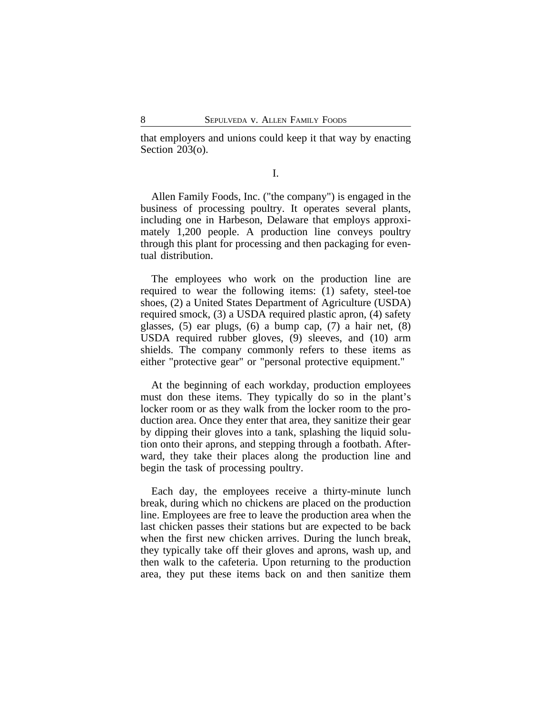that employers and unions could keep it that way by enacting Section 203(o).

I.

Allen Family Foods, Inc. ("the company") is engaged in the business of processing poultry. It operates several plants, including one in Harbeson, Delaware that employs approximately 1,200 people. A production line conveys poultry through this plant for processing and then packaging for eventual distribution.

The employees who work on the production line are required to wear the following items: (1) safety, steel-toe shoes, (2) a United States Department of Agriculture (USDA) required smock, (3) a USDA required plastic apron, (4) safety glasses, (5) ear plugs, (6) a bump cap, (7) a hair net, (8) USDA required rubber gloves, (9) sleeves, and (10) arm shields. The company commonly refers to these items as either "protective gear" or "personal protective equipment."

At the beginning of each workday, production employees must don these items. They typically do so in the plant's locker room or as they walk from the locker room to the production area. Once they enter that area, they sanitize their gear by dipping their gloves into a tank, splashing the liquid solution onto their aprons, and stepping through a footbath. Afterward, they take their places along the production line and begin the task of processing poultry.

Each day, the employees receive a thirty-minute lunch break, during which no chickens are placed on the production line. Employees are free to leave the production area when the last chicken passes their stations but are expected to be back when the first new chicken arrives. During the lunch break, they typically take off their gloves and aprons, wash up, and then walk to the cafeteria. Upon returning to the production area, they put these items back on and then sanitize them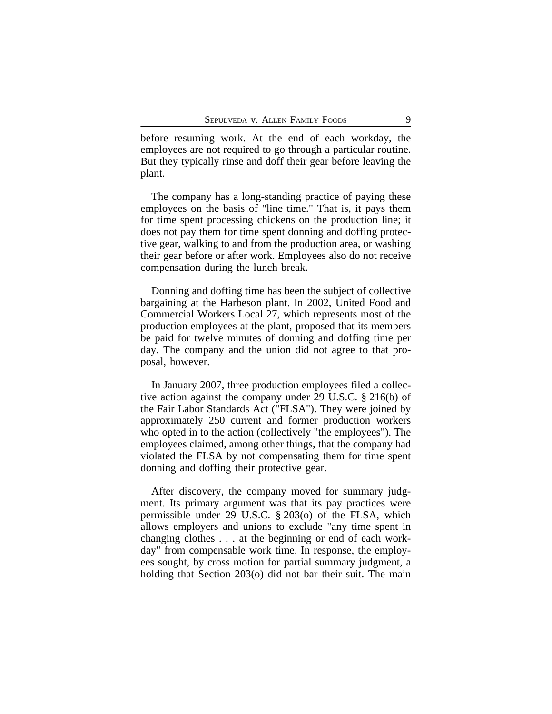before resuming work. At the end of each workday, the employees are not required to go through a particular routine. But they typically rinse and doff their gear before leaving the plant.

The company has a long-standing practice of paying these employees on the basis of "line time." That is, it pays them for time spent processing chickens on the production line; it does not pay them for time spent donning and doffing protective gear, walking to and from the production area, or washing their gear before or after work. Employees also do not receive compensation during the lunch break.

Donning and doffing time has been the subject of collective bargaining at the Harbeson plant. In 2002, United Food and Commercial Workers Local 27, which represents most of the production employees at the plant, proposed that its members be paid for twelve minutes of donning and doffing time per day. The company and the union did not agree to that proposal, however.

In January 2007, three production employees filed a collective action against the company under 29 U.S.C. § 216(b) of the Fair Labor Standards Act ("FLSA"). They were joined by approximately 250 current and former production workers who opted in to the action (collectively "the employees"). The employees claimed, among other things, that the company had violated the FLSA by not compensating them for time spent donning and doffing their protective gear.

After discovery, the company moved for summary judgment. Its primary argument was that its pay practices were permissible under 29 U.S.C. § 203(o) of the FLSA, which allows employers and unions to exclude "any time spent in changing clothes . . . at the beginning or end of each workday" from compensable work time. In response, the employees sought, by cross motion for partial summary judgment, a holding that Section 203(o) did not bar their suit. The main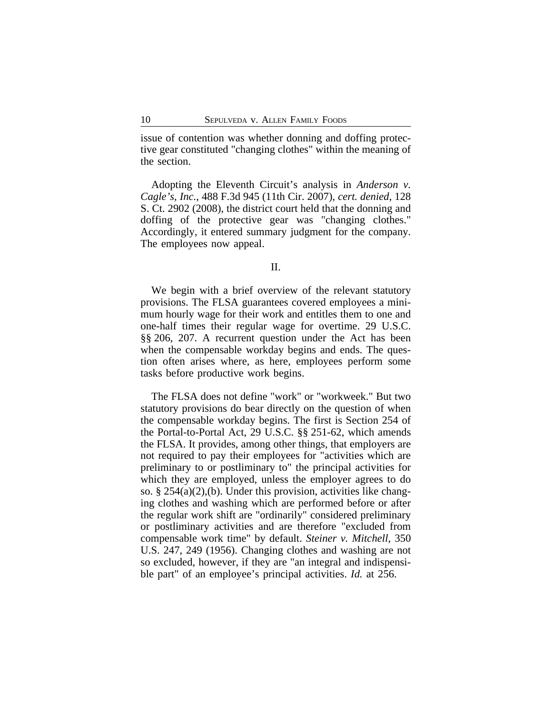issue of contention was whether donning and doffing protective gear constituted "changing clothes" within the meaning of the section.

Adopting the Eleventh Circuit's analysis in *Anderson v. Cagle's, Inc.*, 488 F.3d 945 (11th Cir. 2007), *cert. denied*, 128 S. Ct. 2902 (2008), the district court held that the donning and doffing of the protective gear was "changing clothes." Accordingly, it entered summary judgment for the company. The employees now appeal.

We begin with a brief overview of the relevant statutory provisions. The FLSA guarantees covered employees a minimum hourly wage for their work and entitles them to one and one-half times their regular wage for overtime. 29 U.S.C. §§ 206, 207. A recurrent question under the Act has been when the compensable workday begins and ends. The question often arises where, as here, employees perform some tasks before productive work begins.

The FLSA does not define "work" or "workweek." But two statutory provisions do bear directly on the question of when the compensable workday begins. The first is Section 254 of the Portal-to-Portal Act, 29 U.S.C. §§ 251-62, which amends the FLSA. It provides, among other things, that employers are not required to pay their employees for "activities which are preliminary to or postliminary to" the principal activities for which they are employed, unless the employer agrees to do so. §  $254(a)(2)$ , (b). Under this provision, activities like changing clothes and washing which are performed before or after the regular work shift are "ordinarily" considered preliminary or postliminary activities and are therefore "excluded from compensable work time" by default. *Steiner v. Mitchell*, 350 U.S. 247, 249 (1956). Changing clothes and washing are not so excluded, however, if they are "an integral and indispensible part" of an employee's principal activities. *Id.* at 256.

II.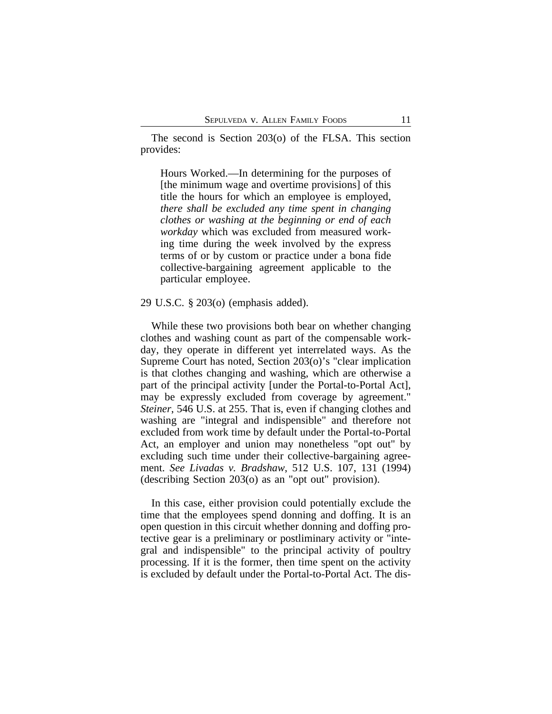The second is Section 203(o) of the FLSA. This section provides:

Hours Worked.—In determining for the purposes of [the minimum wage and overtime provisions] of this title the hours for which an employee is employed, *there shall be excluded any time spent in changing clothes or washing at the beginning or end of each workday* which was excluded from measured working time during the week involved by the express terms of or by custom or practice under a bona fide collective-bargaining agreement applicable to the particular employee.

29 U.S.C. § 203(o) (emphasis added).

While these two provisions both bear on whether changing clothes and washing count as part of the compensable workday, they operate in different yet interrelated ways. As the Supreme Court has noted, Section 203(o)'s "clear implication is that clothes changing and washing, which are otherwise a part of the principal activity [under the Portal-to-Portal Act], may be expressly excluded from coverage by agreement." *Steiner*, 546 U.S. at 255. That is, even if changing clothes and washing are "integral and indispensible" and therefore not excluded from work time by default under the Portal-to-Portal Act, an employer and union may nonetheless "opt out" by excluding such time under their collective-bargaining agreement. *See Livadas v. Bradshaw*, 512 U.S. 107, 131 (1994) (describing Section 203(o) as an "opt out" provision).

In this case, either provision could potentially exclude the time that the employees spend donning and doffing. It is an open question in this circuit whether donning and doffing protective gear is a preliminary or postliminary activity or "integral and indispensible" to the principal activity of poultry processing. If it is the former, then time spent on the activity is excluded by default under the Portal-to-Portal Act. The dis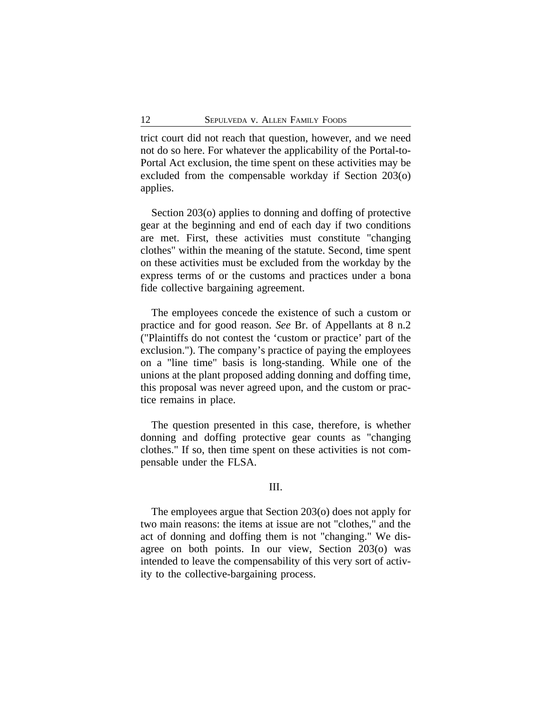trict court did not reach that question, however, and we need not do so here. For whatever the applicability of the Portal-to-Portal Act exclusion, the time spent on these activities may be excluded from the compensable workday if Section 203(o) applies.

Section 203(o) applies to donning and doffing of protective gear at the beginning and end of each day if two conditions are met. First, these activities must constitute "changing clothes" within the meaning of the statute. Second, time spent on these activities must be excluded from the workday by the express terms of or the customs and practices under a bona fide collective bargaining agreement.

The employees concede the existence of such a custom or practice and for good reason. *See* Br. of Appellants at 8 n.2 ("Plaintiffs do not contest the 'custom or practice' part of the exclusion."). The company's practice of paying the employees on a "line time" basis is long-standing. While one of the unions at the plant proposed adding donning and doffing time, this proposal was never agreed upon, and the custom or practice remains in place.

The question presented in this case, therefore, is whether donning and doffing protective gear counts as "changing clothes." If so, then time spent on these activities is not compensable under the FLSA.

# III.

The employees argue that Section 203(o) does not apply for two main reasons: the items at issue are not "clothes," and the act of donning and doffing them is not "changing." We disagree on both points. In our view, Section 203(o) was intended to leave the compensability of this very sort of activity to the collective-bargaining process.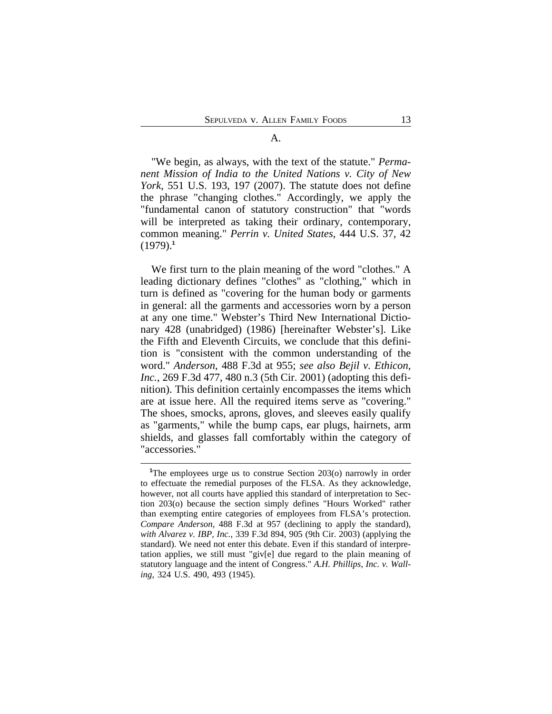#### A.

"We begin, as always, with the text of the statute." *Permanent Mission of India to the United Nations v. City of New York*, 551 U.S. 193, 197 (2007). The statute does not define the phrase "changing clothes." Accordingly, we apply the "fundamental canon of statutory construction" that "words will be interpreted as taking their ordinary, contemporary, common meaning." *Perrin v. United States*, 444 U.S. 37, 42 (1979).**<sup>1</sup>**

We first turn to the plain meaning of the word "clothes." A leading dictionary defines "clothes" as "clothing," which in turn is defined as "covering for the human body or garments in general: all the garments and accessories worn by a person at any one time." Webster's Third New International Dictionary 428 (unabridged) (1986) [hereinafter Webster's]. Like the Fifth and Eleventh Circuits, we conclude that this definition is "consistent with the common understanding of the word." *Anderson*, 488 F.3d at 955; *see also Bejil v. Ethicon, Inc.*, 269 F.3d 477, 480 n.3 (5th Cir. 2001) (adopting this definition). This definition certainly encompasses the items which are at issue here. All the required items serve as "covering." The shoes, smocks, aprons, gloves, and sleeves easily qualify as "garments," while the bump caps, ear plugs, hairnets, arm shields, and glasses fall comfortably within the category of "accessories."

<sup>&</sup>lt;sup>1</sup>The employees urge us to construe Section 203(o) narrowly in order to effectuate the remedial purposes of the FLSA. As they acknowledge, however, not all courts have applied this standard of interpretation to Section 203(o) because the section simply defines "Hours Worked" rather than exempting entire categories of employees from FLSA's protection. *Compare Anderson*, 488 F.3d at 957 (declining to apply the standard), *with Alvarez v. IBP, Inc.*, 339 F.3d 894, 905 (9th Cir. 2003) (applying the standard). We need not enter this debate. Even if this standard of interpretation applies, we still must "giv[e] due regard to the plain meaning of statutory language and the intent of Congress." *A.H. Phillips, Inc. v. Walling*, 324 U.S. 490, 493 (1945).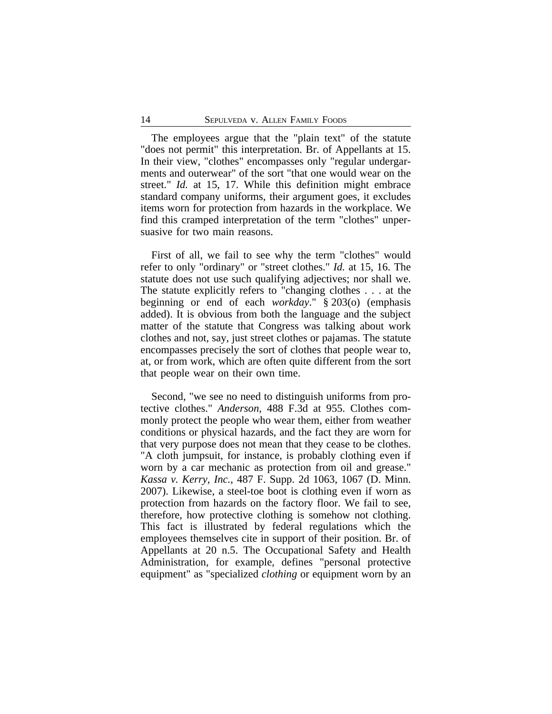The employees argue that the "plain text" of the statute "does not permit" this interpretation. Br. of Appellants at 15. In their view, "clothes" encompasses only "regular undergarments and outerwear" of the sort "that one would wear on the street." *Id.* at 15, 17. While this definition might embrace standard company uniforms, their argument goes, it excludes items worn for protection from hazards in the workplace. We find this cramped interpretation of the term "clothes" unpersuasive for two main reasons.

First of all, we fail to see why the term "clothes" would refer to only "ordinary" or "street clothes." *Id.* at 15, 16. The statute does not use such qualifying adjectives; nor shall we. The statute explicitly refers to "changing clothes . . . at the beginning or end of each *workday*." § 203(o) (emphasis added). It is obvious from both the language and the subject matter of the statute that Congress was talking about work clothes and not, say, just street clothes or pajamas. The statute encompasses precisely the sort of clothes that people wear to, at, or from work, which are often quite different from the sort that people wear on their own time.

Second, "we see no need to distinguish uniforms from protective clothes." *Anderson*, 488 F.3d at 955. Clothes commonly protect the people who wear them, either from weather conditions or physical hazards, and the fact they are worn for that very purpose does not mean that they cease to be clothes. "A cloth jumpsuit, for instance, is probably clothing even if worn by a car mechanic as protection from oil and grease." *Kassa v. Kerry, Inc.*, 487 F. Supp. 2d 1063, 1067 (D. Minn. 2007). Likewise, a steel-toe boot is clothing even if worn as protection from hazards on the factory floor. We fail to see, therefore, how protective clothing is somehow not clothing. This fact is illustrated by federal regulations which the employees themselves cite in support of their position. Br. of Appellants at 20 n.5. The Occupational Safety and Health Administration, for example, defines "personal protective equipment" as "specialized *clothing* or equipment worn by an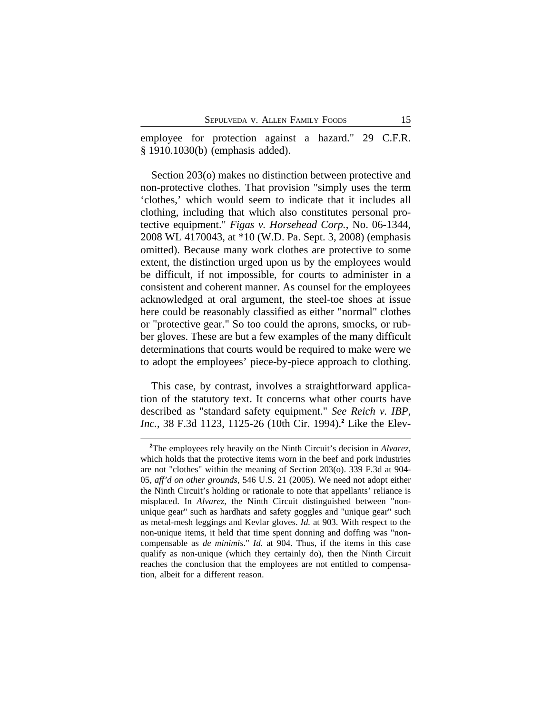employee for protection against a hazard." 29 C.F.R. § 1910.1030(b) (emphasis added).

Section 203(o) makes no distinction between protective and non-protective clothes. That provision "simply uses the term 'clothes,' which would seem to indicate that it includes all clothing, including that which also constitutes personal protective equipment." *Figas v. Horsehead Corp.*, No. 06-1344, 2008 WL 4170043, at \*10 (W.D. Pa. Sept. 3, 2008) (emphasis omitted). Because many work clothes are protective to some extent, the distinction urged upon us by the employees would be difficult, if not impossible, for courts to administer in a consistent and coherent manner. As counsel for the employees acknowledged at oral argument, the steel-toe shoes at issue here could be reasonably classified as either "normal" clothes or "protective gear." So too could the aprons, smocks, or rubber gloves. These are but a few examples of the many difficult determinations that courts would be required to make were we to adopt the employees' piece-by-piece approach to clothing.

This case, by contrast, involves a straightforward application of the statutory text. It concerns what other courts have described as "standard safety equipment." *See Reich v. IBP, Inc.*, 38 F.3d 1123, 1125-26 (10th Cir. 1994).**<sup>2</sup>** Like the Elev-

**<sup>2</sup>**The employees rely heavily on the Ninth Circuit's decision in *Alvarez*, which holds that the protective items worn in the beef and pork industries are not "clothes" within the meaning of Section 203(o). 339 F.3d at 904- 05, *aff'd on other grounds*, 546 U.S. 21 (2005). We need not adopt either the Ninth Circuit's holding or rationale to note that appellants' reliance is misplaced. In *Alvarez*, the Ninth Circuit distinguished between "nonunique gear" such as hardhats and safety goggles and "unique gear" such as metal-mesh leggings and Kevlar gloves. *Id.* at 903. With respect to the non-unique items, it held that time spent donning and doffing was "noncompensable as *de minimis*." *Id.* at 904. Thus, if the items in this case qualify as non-unique (which they certainly do), then the Ninth Circuit reaches the conclusion that the employees are not entitled to compensation, albeit for a different reason.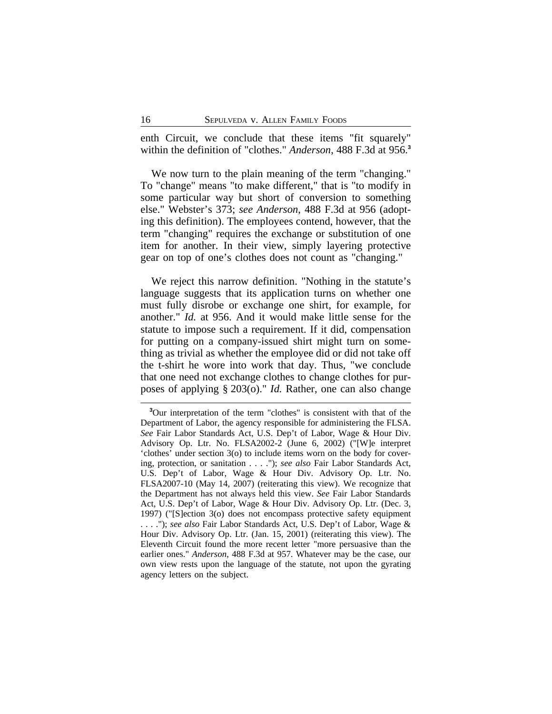enth Circuit, we conclude that these items "fit squarely" within the definition of "clothes." *Anderson*, 488 F.3d at 956.**<sup>3</sup>**

We now turn to the plain meaning of the term "changing." To "change" means "to make different," that is "to modify in some particular way but short of conversion to something else." Webster's 373; *see Anderson*, 488 F.3d at 956 (adopting this definition). The employees contend, however, that the term "changing" requires the exchange or substitution of one item for another. In their view, simply layering protective gear on top of one's clothes does not count as "changing."

We reject this narrow definition. "Nothing in the statute's language suggests that its application turns on whether one must fully disrobe or exchange one shirt, for example, for another." *Id.* at 956. And it would make little sense for the statute to impose such a requirement. If it did, compensation for putting on a company-issued shirt might turn on something as trivial as whether the employee did or did not take off the t-shirt he wore into work that day. Thus, "we conclude that one need not exchange clothes to change clothes for purposes of applying § 203(o)." *Id.* Rather, one can also change

**<sup>3</sup>**Our interpretation of the term "clothes" is consistent with that of the Department of Labor, the agency responsible for administering the FLSA. *See* Fair Labor Standards Act, U.S. Dep't of Labor, Wage & Hour Div. Advisory Op. Ltr. No. FLSA2002-2 (June 6, 2002) ("[W]e interpret 'clothes' under section 3(o) to include items worn on the body for covering, protection, or sanitation . . . ."); *see also* Fair Labor Standards Act, U.S. Dep't of Labor, Wage & Hour Div. Advisory Op. Ltr. No. FLSA2007-10 (May 14, 2007) (reiterating this view). We recognize that the Department has not always held this view. *See* Fair Labor Standards Act, U.S. Dep't of Labor, Wage & Hour Div. Advisory Op. Ltr. (Dec. 3, 1997) ("[S]ection 3(o) does not encompass protective safety equipment . . . ."); *see also* Fair Labor Standards Act, U.S. Dep't of Labor, Wage & Hour Div. Advisory Op. Ltr. (Jan. 15, 2001) (reiterating this view). The Eleventh Circuit found the more recent letter "more persuasive than the earlier ones." *Anderson*, 488 F.3d at 957. Whatever may be the case, our own view rests upon the language of the statute, not upon the gyrating agency letters on the subject.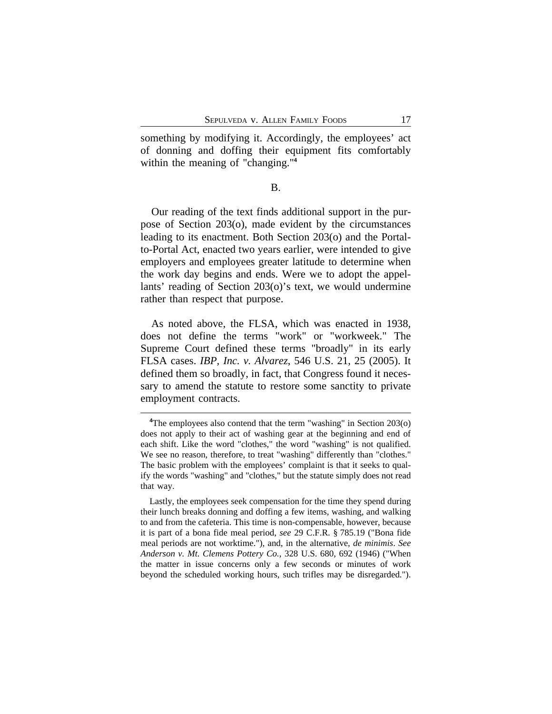something by modifying it. Accordingly, the employees' act of donning and doffing their equipment fits comfortably within the meaning of "changing."**<sup>4</sup>**

### B.

Our reading of the text finds additional support in the purpose of Section 203(o), made evident by the circumstances leading to its enactment. Both Section 203(o) and the Portalto-Portal Act, enacted two years earlier, were intended to give employers and employees greater latitude to determine when the work day begins and ends. Were we to adopt the appellants' reading of Section 203(o)'s text, we would undermine rather than respect that purpose.

As noted above, the FLSA, which was enacted in 1938, does not define the terms "work" or "workweek." The Supreme Court defined these terms "broadly" in its early FLSA cases. *IBP, Inc. v. Alvarez*, 546 U.S. 21, 25 (2005). It defined them so broadly, in fact, that Congress found it necessary to amend the statute to restore some sanctity to private employment contracts.

<sup>&</sup>lt;sup>4</sup>The employees also contend that the term "washing" in Section 203(o) does not apply to their act of washing gear at the beginning and end of each shift. Like the word "clothes," the word "washing" is not qualified. We see no reason, therefore, to treat "washing" differently than "clothes." The basic problem with the employees' complaint is that it seeks to qualify the words "washing" and "clothes," but the statute simply does not read that way.

Lastly, the employees seek compensation for the time they spend during their lunch breaks donning and doffing a few items, washing, and walking to and from the cafeteria. This time is non-compensable, however, because it is part of a bona fide meal period, *see* 29 C.F.R. § 785.19 ("Bona fide meal periods are not worktime."), and, in the alternative, *de minimis*. *See Anderson v. Mt. Clemens Pottery Co.*, 328 U.S. 680, 692 (1946) ("When the matter in issue concerns only a few seconds or minutes of work beyond the scheduled working hours, such trifles may be disregarded.").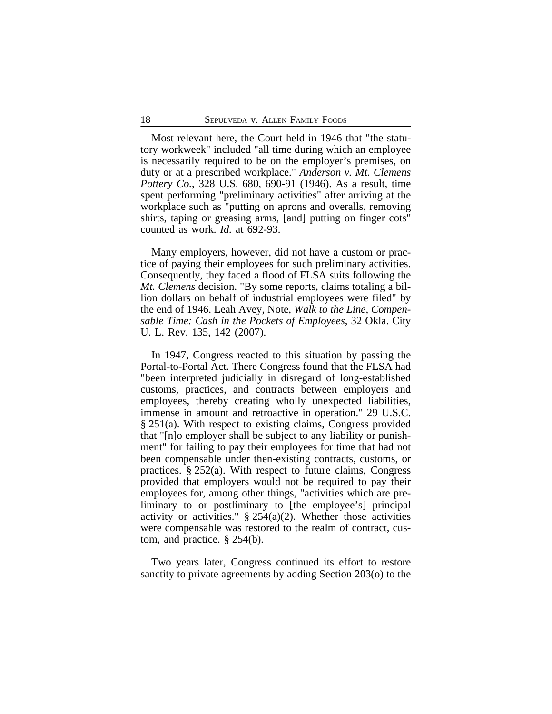Most relevant here, the Court held in 1946 that "the statutory workweek" included "all time during which an employee is necessarily required to be on the employer's premises, on duty or at a prescribed workplace." *Anderson v. Mt. Clemens Pottery Co.*, 328 U.S. 680, 690-91 (1946). As a result, time spent performing "preliminary activities" after arriving at the workplace such as "putting on aprons and overalls, removing shirts, taping or greasing arms, [and] putting on finger cots" counted as work. *Id.* at 692-93.

Many employers, however, did not have a custom or practice of paying their employees for such preliminary activities. Consequently, they faced a flood of FLSA suits following the *Mt. Clemens* decision. "By some reports, claims totaling a billion dollars on behalf of industrial employees were filed" by the end of 1946. Leah Avey, Note, *Walk to the Line, Compensable Time: Cash in the Pockets of Employees*, 32 Okla. City U. L. Rev. 135, 142 (2007).

In 1947, Congress reacted to this situation by passing the Portal-to-Portal Act. There Congress found that the FLSA had "been interpreted judicially in disregard of long-established customs, practices, and contracts between employers and employees, thereby creating wholly unexpected liabilities, immense in amount and retroactive in operation." 29 U.S.C. § 251(a). With respect to existing claims, Congress provided that "[n]o employer shall be subject to any liability or punishment" for failing to pay their employees for time that had not been compensable under then-existing contracts, customs, or practices. § 252(a). With respect to future claims, Congress provided that employers would not be required to pay their employees for, among other things, "activities which are preliminary to or postliminary to [the employee's] principal activity or activities."  $\S$  254(a)(2). Whether those activities were compensable was restored to the realm of contract, custom, and practice. § 254(b).

Two years later, Congress continued its effort to restore sanctity to private agreements by adding Section 203(o) to the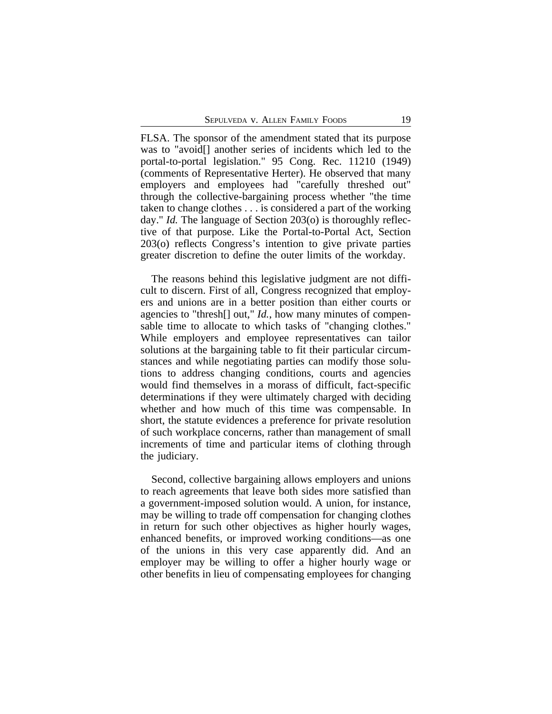FLSA. The sponsor of the amendment stated that its purpose was to "avoid<sup>[]</sup> another series of incidents which led to the portal-to-portal legislation." 95 Cong. Rec. 11210 (1949) (comments of Representative Herter). He observed that many employers and employees had "carefully threshed out" through the collective-bargaining process whether "the time taken to change clothes . . . is considered a part of the working day." *Id.* The language of Section 203(o) is thoroughly reflective of that purpose. Like the Portal-to-Portal Act, Section 203(o) reflects Congress's intention to give private parties greater discretion to define the outer limits of the workday.

The reasons behind this legislative judgment are not difficult to discern. First of all, Congress recognized that employers and unions are in a better position than either courts or agencies to "thresh[] out," *Id.*, how many minutes of compensable time to allocate to which tasks of "changing clothes." While employers and employee representatives can tailor solutions at the bargaining table to fit their particular circumstances and while negotiating parties can modify those solutions to address changing conditions, courts and agencies would find themselves in a morass of difficult, fact-specific determinations if they were ultimately charged with deciding whether and how much of this time was compensable. In short, the statute evidences a preference for private resolution of such workplace concerns, rather than management of small increments of time and particular items of clothing through the judiciary.

Second, collective bargaining allows employers and unions to reach agreements that leave both sides more satisfied than a government-imposed solution would. A union, for instance, may be willing to trade off compensation for changing clothes in return for such other objectives as higher hourly wages, enhanced benefits, or improved working conditions—as one of the unions in this very case apparently did. And an employer may be willing to offer a higher hourly wage or other benefits in lieu of compensating employees for changing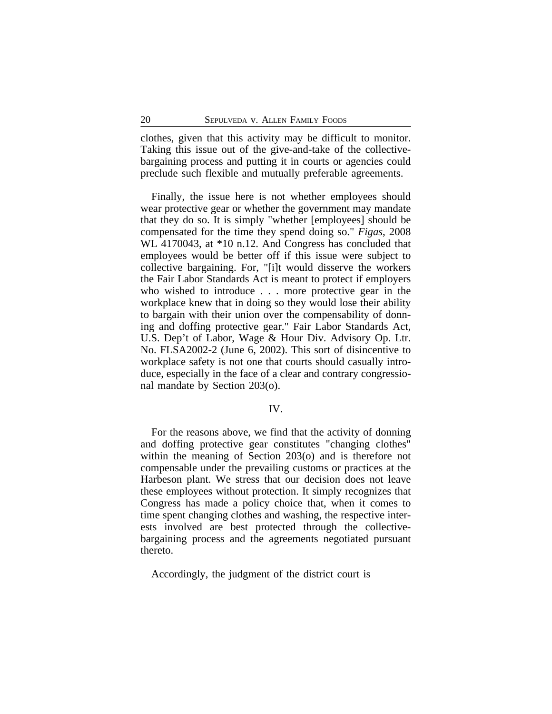clothes, given that this activity may be difficult to monitor. Taking this issue out of the give-and-take of the collectivebargaining process and putting it in courts or agencies could preclude such flexible and mutually preferable agreements.

Finally, the issue here is not whether employees should wear protective gear or whether the government may mandate that they do so. It is simply "whether [employees] should be compensated for the time they spend doing so." *Figas*, 2008 WL 4170043, at \*10 n.12. And Congress has concluded that employees would be better off if this issue were subject to collective bargaining. For, "[i]t would disserve the workers the Fair Labor Standards Act is meant to protect if employers who wished to introduce . . . more protective gear in the workplace knew that in doing so they would lose their ability to bargain with their union over the compensability of donning and doffing protective gear." Fair Labor Standards Act, U.S. Dep't of Labor, Wage & Hour Div. Advisory Op. Ltr. No. FLSA2002-2 (June 6, 2002). This sort of disincentive to workplace safety is not one that courts should casually introduce, especially in the face of a clear and contrary congressional mandate by Section 203(o).

# IV.

For the reasons above, we find that the activity of donning and doffing protective gear constitutes "changing clothes" within the meaning of Section 203(o) and is therefore not compensable under the prevailing customs or practices at the Harbeson plant. We stress that our decision does not leave these employees without protection. It simply recognizes that Congress has made a policy choice that, when it comes to time spent changing clothes and washing, the respective interests involved are best protected through the collectivebargaining process and the agreements negotiated pursuant thereto.

Accordingly, the judgment of the district court is